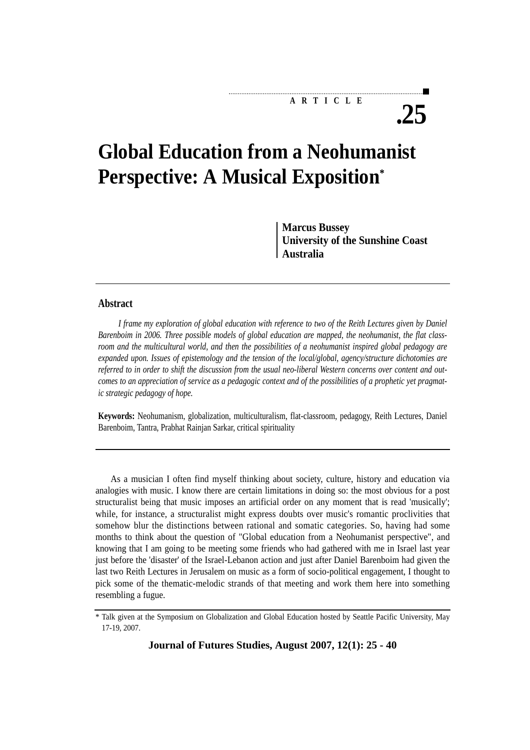# **ARTICLE**

# **.25**

# **Global Education from a Neohumanist Perspective: A Musical Exposition\***

**Marcus Bussey University of the Sunshine Coast Australia**

# **Abstract**

*I frame my exploration of global education with reference to two of the Reith Lectures given by Daniel Barenboim in 2006. Three possible models of global education are mapped, the neohumanist, the flat classroom and the multicultural world, and then the possibilities of a neohumanist inspired global pedagogy are expanded upon. Issues of epistemology and the tension of the local/global, agency/structure dichotomies are referred to in order to shift the discussion from the usual neo-liberal Western concerns over content and outcomes to an appreciation of service as a pedagogic context and of the possibilities of a prophetic yet pragmatic strategic pedagogy of hope.*

**Keywords:** Neohumanism, globalization, multiculturalism, flat-classroom, pedagogy, Reith Lectures, Daniel Barenboim, Tantra, Prabhat Rainjan Sarkar, critical spirituality

As a musician I often find myself thinking about society, culture, history and education via analogies with music. I know there are certain limitations in doing so: the most obvious for a post structuralist being that music imposes an artificial order on any moment that is read 'musically'; while, for instance, a structuralist might express doubts over music's romantic proclivities that somehow blur the distinctions between rational and somatic categories. So, having had some months to think about the question of "Global education from a Neohumanist perspective", and knowing that I am going to be meeting some friends who had gathered with me in Israel last year just before the 'disaster' of the Israel-Lebanon action and just after Daniel Barenboim had given the last two Reith Lectures in Jerusalem on music as a form of socio-political engagement, I thought to pick some of the thematic-melodic strands of that meeting and work them here into something resembling a fugue.

**Journal of Futures Studies, August 2007, 12(1): 25 - 40**

<sup>\*</sup> Talk given at the Symposium on Globalization and Global Education hosted by Seattle Pacific University, May 17-19, 2007.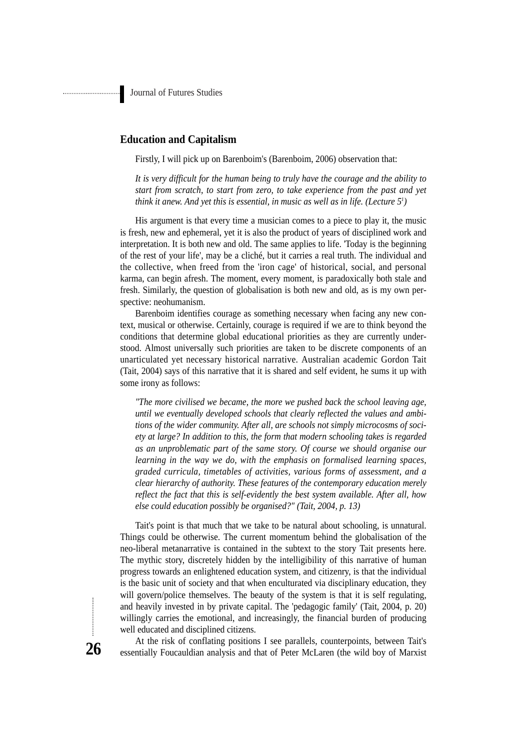# **Education and Capitalism**

Firstly, I will pick up on Barenboim's (Barenboim, 2006) observation that:

*It is very difficult for the human being to truly have the courage and the ability to start from scratch, to start from zero, to take experience from the past and yet think it anew. And yet this is essential, in music as well as in life. (Lecture 51 )*

His argument is that every time a musician comes to a piece to play it, the music is fresh, new and ephemeral, yet it is also the product of years of disciplined work and interpretation. It is both new and old. The same applies to life. 'Today is the beginning of the rest of your life', may be a cliché, but it carries a real truth. The individual and the collective, when freed from the 'iron cage' of historical, social, and personal karma, can begin afresh. The moment, every moment, is paradoxically both stale and fresh. Similarly, the question of globalisation is both new and old, as is my own perspective: neohumanism.

Barenboim identifies courage as something necessary when facing any new context, musical or otherwise. Certainly, courage is required if we are to think beyond the conditions that determine global educational priorities as they are currently understood. Almost universally such priorities are taken to be discrete components of an unarticulated yet necessary historical narrative. Australian academic Gordon Tait (Tait, 2004) says of this narrative that it is shared and self evident, he sums it up with some irony as follows:

*"The more civilised we became, the more we pushed back the school leaving age, until we eventually developed schools that clearly reflected the values and ambitions of the wider community. After all, are schools not simply microcosms of society at large? In addition to this, the form that modern schooling takes is regarded as an unproblematic part of the same story. Of course we should organise our learning in the way we do, with the emphasis on formalised learning spaces, graded curricula, timetables of activities, various forms of assessment, and a clear hierarchy of authority. These features of the contemporary education merely reflect the fact that this is self-evidently the best system available. After all, how else could education possibly be organised?" (Tait, 2004, p. 13)*

Tait's point is that much that we take to be natural about schooling, is unnatural. Things could be otherwise. The current momentum behind the globalisation of the neo-liberal metanarrative is contained in the subtext to the story Tait presents here. The mythic story, discretely hidden by the intelligibility of this narrative of human progress towards an enlightened education system, and citizenry, is that the individual is the basic unit of society and that when enculturated via disciplinary education, they will govern/police themselves. The beauty of the system is that it is self regulating, and heavily invested in by private capital. The 'pedagogic family' (Tait, 2004, p. 20) willingly carries the emotional, and increasingly, the financial burden of producing well educated and disciplined citizens.

At the risk of conflating positions I see parallels, counterpoints, between Tait's essentially Foucauldian analysis and that of Peter McLaren (the wild boy of Marxist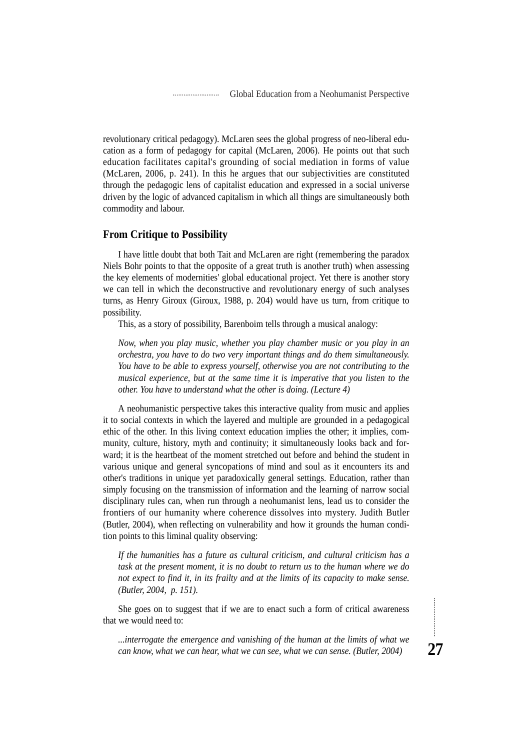revolutionary critical pedagogy). McLaren sees the global progress of neo-liberal education as a form of pedagogy for capital (McLaren, 2006). He points out that such education facilitates capital's grounding of social mediation in forms of value (McLaren, 2006, p. 241). In this he argues that our subjectivities are constituted through the pedagogic lens of capitalist education and expressed in a social universe driven by the logic of advanced capitalism in which all things are simultaneously both commodity and labour.

#### **From Critique to Possibility**

I have little doubt that both Tait and McLaren are right (remembering the paradox Niels Bohr points to that the opposite of a great truth is another truth) when assessing the key elements of modernities' global educational project. Yet there is another story we can tell in which the deconstructive and revolutionary energy of such analyses turns, as Henry Giroux (Giroux, 1988, p. 204) would have us turn, from critique to possibility.

This, as a story of possibility, Barenboim tells through a musical analogy:

*Now, when you play music, whether you play chamber music or you play in an orchestra, you have to do two very important things and do them simultaneously. You have to be able to express yourself, otherwise you are not contributing to the musical experience, but at the same time it is imperative that you listen to the other. You have to understand what the other is doing. (Lecture 4)*

A neohumanistic perspective takes this interactive quality from music and applies it to social contexts in which the layered and multiple are grounded in a pedagogical ethic of the other. In this living context education implies the other; it implies, community, culture, history, myth and continuity; it simultaneously looks back and forward; it is the heartbeat of the moment stretched out before and behind the student in various unique and general syncopations of mind and soul as it encounters its and other's traditions in unique yet paradoxically general settings. Education, rather than simply focusing on the transmission of information and the learning of narrow social disciplinary rules can, when run through a neohumanist lens, lead us to consider the frontiers of our humanity where coherence dissolves into mystery. Judith Butler (Butler, 2004), when reflecting on vulnerability and how it grounds the human condition points to this liminal quality observing:

*If the humanities has a future as cultural criticism, and cultural criticism has a task at the present moment, it is no doubt to return us to the human where we do not expect to find it, in its frailty and at the limits of its capacity to make sense. (Butler, 2004, p. 151).*

She goes on to suggest that if we are to enact such a form of critical awareness that we would need to:

*...interrogate the emergence and vanishing of the human at the limits of what we can know, what we can hear, what we can see, what we can sense. (Butler, 2004)*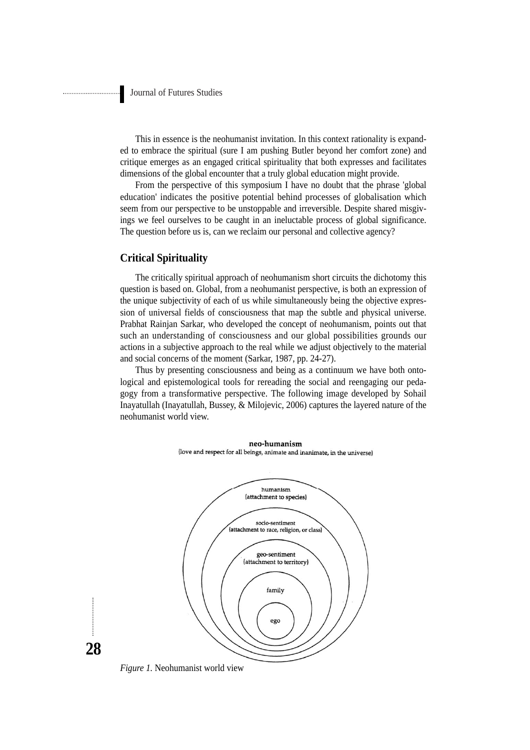..............................

This in essence is the neohumanist invitation. In this context rationality is expanded to embrace the spiritual (sure I am pushing Butler beyond her comfort zone) and critique emerges as an engaged critical spirituality that both expresses and facilitates dimensions of the global encounter that a truly global education might provide.

From the perspective of this symposium I have no doubt that the phrase 'global education' indicates the positive potential behind processes of globalisation which seem from our perspective to be unstoppable and irreversible. Despite shared misgivings we feel ourselves to be caught in an ineluctable process of global significance. The question before us is, can we reclaim our personal and collective agency?

# **Critical Spirituality**

The critically spiritual approach of neohumanism short circuits the dichotomy this question is based on. Global, from a neohumanist perspective, is both an expression of the unique subjectivity of each of us while simultaneously being the objective expression of universal fields of consciousness that map the subtle and physical universe. Prabhat Rainjan Sarkar, who developed the concept of neohumanism, points out that such an understanding of consciousness and our global possibilities grounds our actions in a subjective approach to the real while we adjust objectively to the material and social concerns of the moment (Sarkar, 1987, pp. 24-27).

Thus by presenting consciousness and being as a continuum we have both ontological and epistemological tools for rereading the social and reengaging our pedagogy from a transformative perspective. The following image developed by Sohail Inayatullah (Inayatullah, Bussey, & Milojevic, 2006) captures the layered nature of the neohumanist world view.





*Figure 1.* Neohumanist world view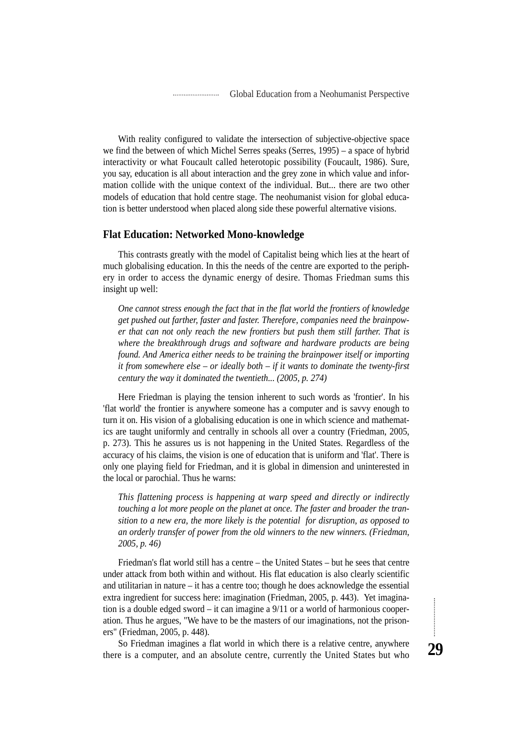With reality configured to validate the intersection of subjective-objective space we find the between of which Michel Serres speaks (Serres, 1995) – a space of hybrid interactivity or what Foucault called heterotopic possibility (Foucault, 1986). Sure, you say, education is all about interaction and the grey zone in which value and information collide with the unique context of the individual. But... there are two other models of education that hold centre stage. The neohumanist vision for global education is better understood when placed along side these powerful alternative visions.

#### **Flat Education: Networked Mono-knowledge**

This contrasts greatly with the model of Capitalist being which lies at the heart of much globalising education. In this the needs of the centre are exported to the periphery in order to access the dynamic energy of desire. Thomas Friedman sums this insight up well:

*One cannot stress enough the fact that in the flat world the frontiers of knowledge get pushed out farther, faster and faster. Therefore, companies need the brainpower that can not only reach the new frontiers but push them still farther. That is where the breakthrough drugs and software and hardware products are being found. And America either needs to be training the brainpower itself or importing it from somewhere else – or ideally both – if it wants to dominate the twenty-first century the way it dominated the twentieth... (2005, p. 274)*

Here Friedman is playing the tension inherent to such words as 'frontier'. In his 'flat world' the frontier is anywhere someone has a computer and is savvy enough to turn it on. His vision of a globalising education is one in which science and mathematics are taught uniformly and centrally in schools all over a country (Friedman, 2005, p. 273). This he assures us is not happening in the United States. Regardless of the accuracy of his claims, the vision is one of education that is uniform and 'flat'. There is only one playing field for Friedman, and it is global in dimension and uninterested in the local or parochial. Thus he warns:

*This flattening process is happening at warp speed and directly or indirectly touching a lot more people on the planet at once. The faster and broader the transition to a new era, the more likely is the potential for disruption, as opposed to an orderly transfer of power from the old winners to the new winners. (Friedman, 2005, p. 46)*

Friedman's flat world still has a centre – the United States – but he sees that centre under attack from both within and without. His flat education is also clearly scientific and utilitarian in nature – it has a centre too; though he does acknowledge the essential extra ingredient for success here: imagination (Friedman, 2005, p. 443). Yet imagination is a double edged sword – it can imagine a 9/11 or a world of harmonious cooperation. Thus he argues, "We have to be the masters of our imaginations, not the prisoners" (Friedman, 2005, p. 448).

So Friedman imagines a flat world in which there is a relative centre, anywhere there is a computer, and an absolute centre, currently the United States but who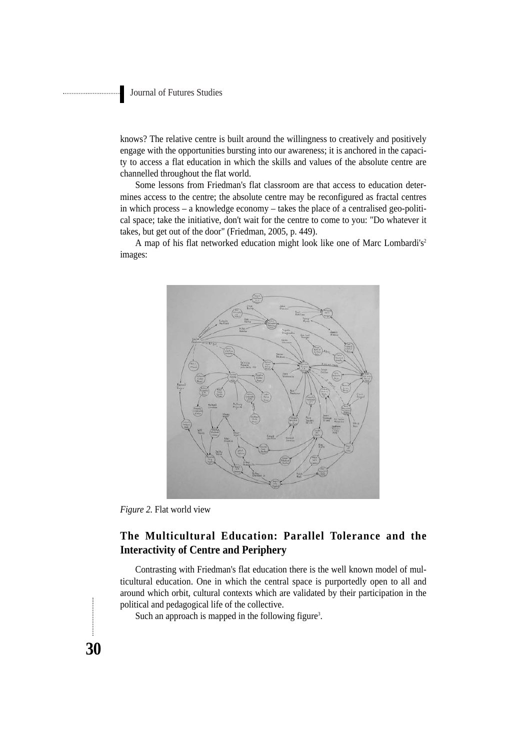.........................

knows? The relative centre is built around the willingness to creatively and positively engage with the opportunities bursting into our awareness; it is anchored in the capacity to access a flat education in which the skills and values of the absolute centre are channelled throughout the flat world.

Some lessons from Friedman's flat classroom are that access to education determines access to the centre; the absolute centre may be reconfigured as fractal centres in which process – a knowledge economy – takes the place of a centralised geo-political space; take the initiative, don't wait for the centre to come to you: "Do whatever it takes, but get out of the door" (Friedman, 2005, p. 449).

A map of his flat networked education might look like one of Marc Lombardi's<sup>2</sup> images:



*Figure 2.* Flat world view

**30**

# **The Multicultural Education: Parallel Tolerance and the Interactivity of Centre and Periphery**

Contrasting with Friedman's flat education there is the well known model of multicultural education. One in which the central space is purportedly open to all and around which orbit, cultural contexts which are validated by their participation in the political and pedagogical life of the collective.

Such an approach is mapped in the following figure<sup>3</sup>.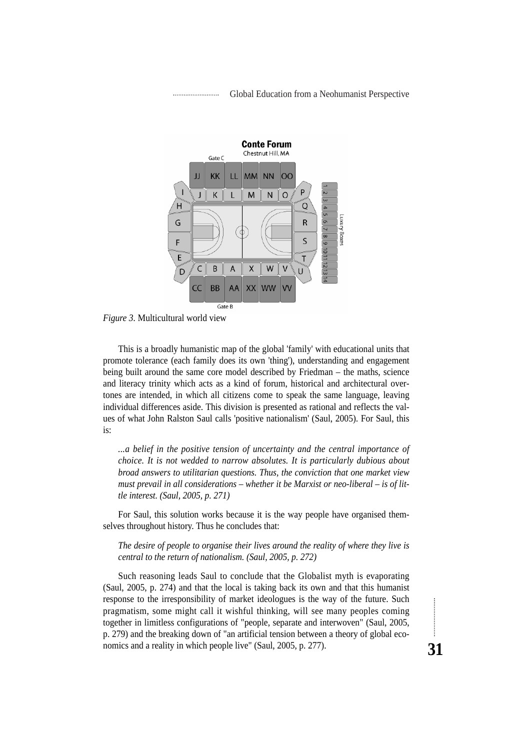Global Education from a Neohumanist Perspective 



*Figure 3.* Multicultural world view

This is a broadly humanistic map of the global 'family' with educational units that promote tolerance (each family does its own 'thing'), understanding and engagement being built around the same core model described by Friedman – the maths, science and literacy trinity which acts as a kind of forum, historical and architectural overtones are intended, in which all citizens come to speak the same language, leaving individual differences aside. This division is presented as rational and reflects the values of what John Ralston Saul calls 'positive nationalism' (Saul, 2005). For Saul, this is:

*...a belief in the positive tension of uncertainty and the central importance of choice. It is not wedded to narrow absolutes. It is particularly dubious about broad answers to utilitarian questions. Thus, the conviction that one market view must prevail in all considerations – whether it be Marxist or neo-liberal – is of little interest. (Saul, 2005, p. 271)*

For Saul, this solution works because it is the way people have organised themselves throughout history. Thus he concludes that:

*The desire of people to organise their lives around the reality of where they live is central to the return of nationalism. (Saul, 2005, p. 272)*

Such reasoning leads Saul to conclude that the Globalist myth is evaporating (Saul, 2005, p. 274) and that the local is taking back its own and that this humanist response to the irresponsibility of market ideologues is the way of the future. Such pragmatism, some might call it wishful thinking, will see many peoples coming together in limitless configurations of "people, separate and interwoven" (Saul, 2005, p. 279) and the breaking down of "an artificial tension between a theory of global economics and a reality in which people live" (Saul, 2005, p. 277).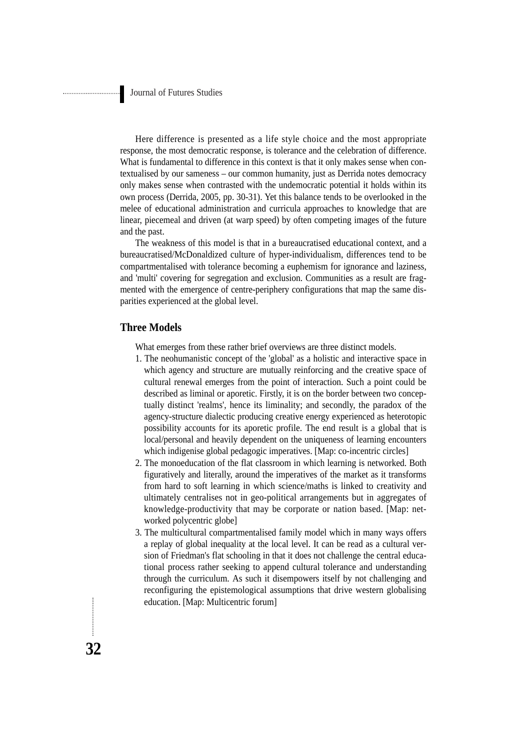Here difference is presented as a life style choice and the most appropriate response, the most democratic response, is tolerance and the celebration of difference. What is fundamental to difference in this context is that it only makes sense when contextualised by our sameness – our common humanity, just as Derrida notes democracy only makes sense when contrasted with the undemocratic potential it holds within its own process (Derrida, 2005, pp. 30-31). Yet this balance tends to be overlooked in the melee of educational administration and curricula approaches to knowledge that are linear, piecemeal and driven (at warp speed) by often competing images of the future and the past.

The weakness of this model is that in a bureaucratised educational context, and a bureaucratised/McDonaldized culture of hyper-individualism, differences tend to be compartmentalised with tolerance becoming a euphemism for ignorance and laziness, and 'multi' covering for segregation and exclusion. Communities as a result are fragmented with the emergence of centre-periphery configurations that map the same disparities experienced at the global level.

# **Three Models**

What emerges from these rather brief overviews are three distinct models.

- 1. The neohumanistic concept of the 'global' as a holistic and interactive space in which agency and structure are mutually reinforcing and the creative space of cultural renewal emerges from the point of interaction. Such a point could be described as liminal or aporetic. Firstly, it is on the border between two conceptually distinct 'realms', hence its liminality; and secondly, the paradox of the agency-structure dialectic producing creative energy experienced as heterotopic possibility accounts for its aporetic profile. The end result is a global that is local/personal and heavily dependent on the uniqueness of learning encounters which indigenise global pedagogic imperatives. [Map: co-incentric circles]
- 2. The monoeducation of the flat classroom in which learning is networked. Both figuratively and literally, around the imperatives of the market as it transforms from hard to soft learning in which science/maths is linked to creativity and ultimately centralises not in geo-political arrangements but in aggregates of knowledge-productivity that may be corporate or nation based. [Map: networked polycentric globe]
- 3. The multicultural compartmentalised family model which in many ways offers a replay of global inequality at the local level. It can be read as a cultural version of Friedman's flat schooling in that it does not challenge the central educational process rather seeking to append cultural tolerance and understanding through the curriculum. As such it disempowers itself by not challenging and reconfiguring the epistemological assumptions that drive western globalising education. [Map: Multicentric forum]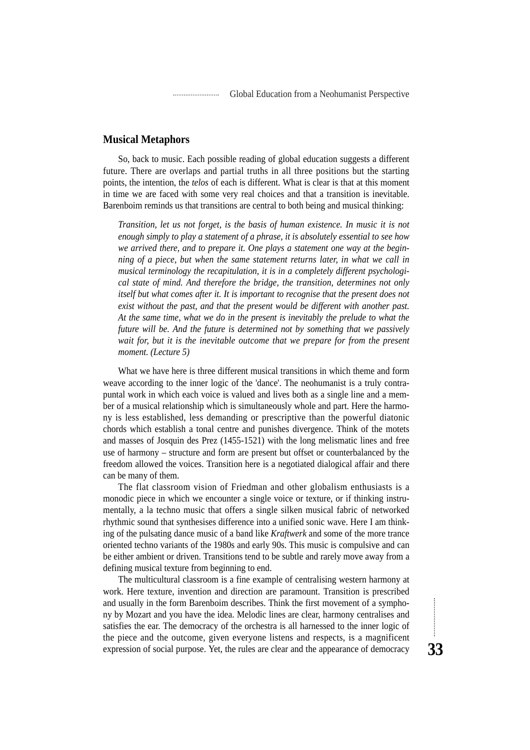#### **Musical Metaphors**

So, back to music. Each possible reading of global education suggests a different future. There are overlaps and partial truths in all three positions but the starting points, the intention, the *telos* of each is different. What is clear is that at this moment in time we are faced with some very real choices and that a transition is inevitable. Barenboim reminds us that transitions are central to both being and musical thinking:

*Transition, let us not forget, is the basis of human existence. In music it is not enough simply to play a statement of a phrase, it is absolutely essential to see how we arrived there, and to prepare it. One plays a statement one way at the beginning of a piece, but when the same statement returns later, in what we call in musical terminology the recapitulation, it is in a completely different psychological state of mind. And therefore the bridge, the transition, determines not only itself but what comes after it. It is important to recognise that the present does not exist without the past, and that the present would be different with another past. At the same time, what we do in the present is inevitably the prelude to what the future will be. And the future is determined not by something that we passively wait for, but it is the inevitable outcome that we prepare for from the present moment. (Lecture 5)*

What we have here is three different musical transitions in which theme and form weave according to the inner logic of the 'dance'. The neohumanist is a truly contrapuntal work in which each voice is valued and lives both as a single line and a member of a musical relationship which is simultaneously whole and part. Here the harmony is less established, less demanding or prescriptive than the powerful diatonic chords which establish a tonal centre and punishes divergence. Think of the motets and masses of Josquin des Prez (1455-1521) with the long melismatic lines and free use of harmony – structure and form are present but offset or counterbalanced by the freedom allowed the voices. Transition here is a negotiated dialogical affair and there can be many of them.

The flat classroom vision of Friedman and other globalism enthusiasts is a monodic piece in which we encounter a single voice or texture, or if thinking instrumentally, a la techno music that offers a single silken musical fabric of networked rhythmic sound that synthesises difference into a unified sonic wave. Here I am thinking of the pulsating dance music of a band like *Kraftwerk* and some of the more trance oriented techno variants of the 1980s and early 90s. This music is compulsive and can be either ambient or driven. Transitions tend to be subtle and rarely move away from a defining musical texture from beginning to end.

The multicultural classroom is a fine example of centralising western harmony at work. Here texture, invention and direction are paramount. Transition is prescribed and usually in the form Barenboim describes. Think the first movement of a symphony by Mozart and you have the idea. Melodic lines are clear, harmony centralises and satisfies the ear. The democracy of the orchestra is all harnessed to the inner logic of the piece and the outcome, given everyone listens and respects, is a magnificent expression of social purpose. Yet, the rules are clear and the appearance of democracy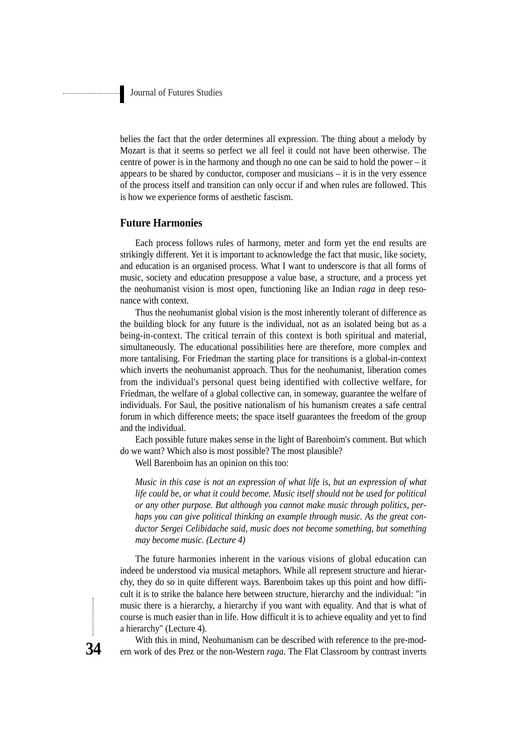belies the fact that the order determines all expression. The thing about a melody by Mozart is that it seems so perfect we all feel it could not have been otherwise. The centre of power is in the harmony and though no one can be said to hold the power – it appears to be shared by conductor, composer and musicians – it is in the very essence of the process itself and transition can only occur if and when rules are followed. This is how we experience forms of aesthetic fascism.

# **Future Harmonies**

**34**

Each process follows rules of harmony, meter and form yet the end results are strikingly different. Yet it is important to acknowledge the fact that music, like society, and education is an organised process. What I want to underscore is that all forms of music, society and education presuppose a value base, a structure, and a process yet the neohumanist vision is most open, functioning like an Indian *raga* in deep resonance with context.

Thus the neohumanist global vision is the most inherently tolerant of difference as the building block for any future is the individual, not as an isolated being but as a being-in-context. The critical terrain of this context is both spiritual and material, simultaneously. The educational possibilities here are therefore, more complex and more tantalising. For Friedman the starting place for transitions is a global-in-context which inverts the neohumanist approach. Thus for the neohumanist, liberation comes from the individual's personal quest being identified with collective welfare, for Friedman, the welfare of a global collective can, in someway, guarantee the welfare of individuals. For Saul, the positive nationalism of his humanism creates a safe central forum in which difference meets; the space itself guarantees the freedom of the group and the individual.

Each possible future makes sense in the light of Barenboim's comment. But which do we want? Which also is most possible? The most plausible?

Well Barenboim has an opinion on this too:

*Music in this case is not an expression of what life is, but an expression of what life could be, or what it could become. Music itself should not be used for political or any other purpose. But although you cannot make music through politics, perhaps you can give political thinking an example through music. As the great conductor Sergei Celibidache said, music does not become something, but something may become music. (Lecture 4)*

The future harmonies inherent in the various visions of global education can indeed be understood via musical metaphors. While all represent structure and hierarchy, they do so in quite different ways. Barenboim takes up this point and how difficult it is to strike the balance here between structure, hierarchy and the individual: "in music there is a hierarchy, a hierarchy if you want with equality. And that is what of course is much easier than in life. How difficult it is to achieve equality and yet to find a hierarchy" (Lecture 4).

With this in mind, Neohumanism can be described with reference to the pre-modern work of des Prez or the non-Western *raga*. The Flat Classroom by contrast inverts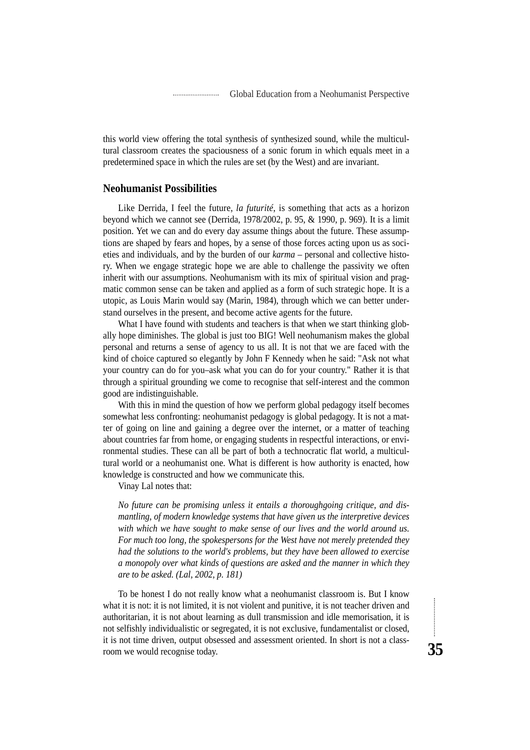this world view offering the total synthesis of synthesized sound, while the multicultural classroom creates the spaciousness of a sonic forum in which equals meet in a predetermined space in which the rules are set (by the West) and are invariant.

#### **Neohumanist Possibilities**

Like Derrida, I feel the future, *la futurité*, is something that acts as a horizon beyond which we cannot see (Derrida, 1978/2002, p. 95, & 1990, p. 969). It is a limit position. Yet we can and do every day assume things about the future. These assumptions are shaped by fears and hopes, by a sense of those forces acting upon us as societies and individuals, and by the burden of our *karma* – personal and collective history. When we engage strategic hope we are able to challenge the passivity we often inherit with our assumptions. Neohumanism with its mix of spiritual vision and pragmatic common sense can be taken and applied as a form of such strategic hope. It is a utopic, as Louis Marin would say (Marin, 1984), through which we can better understand ourselves in the present, and become active agents for the future.

What I have found with students and teachers is that when we start thinking globally hope diminishes. The global is just too BIG! Well neohumanism makes the global personal and returns a sense of agency to us all. It is not that we are faced with the kind of choice captured so elegantly by John F Kennedy when he said: "Ask not what your country can do for you–ask what you can do for your country." Rather it is that through a spiritual grounding we come to recognise that self-interest and the common good are indistinguishable.

With this in mind the question of how we perform global pedagogy itself becomes somewhat less confronting: neohumanist pedagogy is global pedagogy. It is not a matter of going on line and gaining a degree over the internet, or a matter of teaching about countries far from home, or engaging students in respectful interactions, or environmental studies. These can all be part of both a technocratic flat world, a multicultural world or a neohumanist one. What is different is how authority is enacted, how knowledge is constructed and how we communicate this.

Vinay Lal notes that:

*No future can be promising unless it entails a thoroughgoing critique, and dismantling, of modern knowledge systems that have given us the interpretive devices with which we have sought to make sense of our lives and the world around us. For much too long, the spokespersons for the West have not merely pretended they had the solutions to the world's problems, but they have been allowed to exercise a monopoly over what kinds of questions are asked and the manner in which they are to be asked. (Lal, 2002, p. 181)*

To be honest I do not really know what a neohumanist classroom is. But I know what it is not: it is not limited, it is not violent and punitive, it is not teacher driven and authoritarian, it is not about learning as dull transmission and idle memorisation, it is not selfishly individualistic or segregated, it is not exclusive, fundamentalist or closed, it is not time driven, output obsessed and assessment oriented. In short is not a classroom we would recognise today.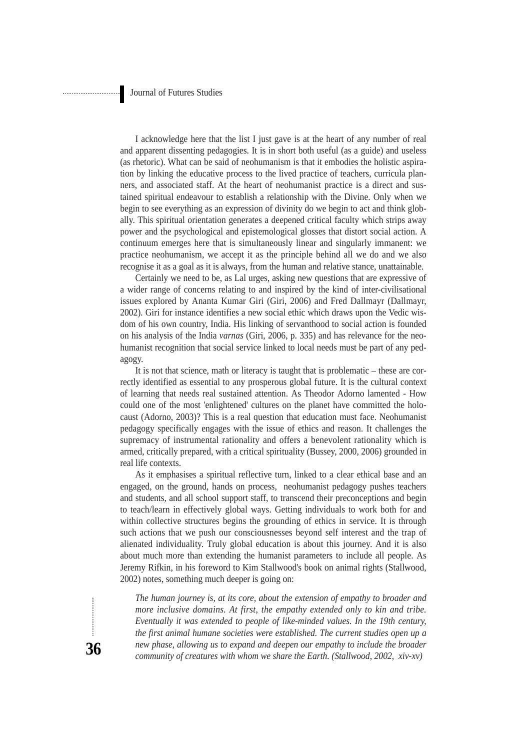I acknowledge here that the list I just gave is at the heart of any number of real and apparent dissenting pedagogies. It is in short both useful (as a guide) and useless (as rhetoric). What can be said of neohumanism is that it embodies the holistic aspiration by linking the educative process to the lived practice of teachers, curricula planners, and associated staff. At the heart of neohumanist practice is a direct and sustained spiritual endeavour to establish a relationship with the Divine. Only when we begin to see everything as an expression of divinity do we begin to act and think globally. This spiritual orientation generates a deepened critical faculty which strips away power and the psychological and epistemological glosses that distort social action. A continuum emerges here that is simultaneously linear and singularly immanent: we practice neohumanism, we accept it as the principle behind all we do and we also recognise it as a goal as it is always, from the human and relative stance, unattainable.

Certainly we need to be, as Lal urges, asking new questions that are expressive of a wider range of concerns relating to and inspired by the kind of inter-civilisational issues explored by Ananta Kumar Giri (Giri, 2006) and Fred Dallmayr (Dallmayr, 2002). Giri for instance identifies a new social ethic which draws upon the Vedic wisdom of his own country, India. His linking of servanthood to social action is founded on his analysis of the India *varnas* (Giri, 2006, p. 335) and has relevance for the neohumanist recognition that social service linked to local needs must be part of any pedagogy.

It is not that science, math or literacy is taught that is problematic – these are correctly identified as essential to any prosperous global future. It is the cultural context of learning that needs real sustained attention. As Theodor Adorno lamented - How could one of the most 'enlightened' cultures on the planet have committed the holocaust (Adorno, 2003)? This is a real question that education must face. Neohumanist pedagogy specifically engages with the issue of ethics and reason. It challenges the supremacy of instrumental rationality and offers a benevolent rationality which is armed, critically prepared, with a critical spirituality (Bussey, 2000, 2006) grounded in real life contexts.

As it emphasises a spiritual reflective turn, linked to a clear ethical base and an engaged, on the ground, hands on process, neohumanist pedagogy pushes teachers and students, and all school support staff, to transcend their preconceptions and begin to teach/learn in effectively global ways. Getting individuals to work both for and within collective structures begins the grounding of ethics in service. It is through such actions that we push our consciousnesses beyond self interest and the trap of alienated individuality. Truly global education is about this journey. And it is also about much more than extending the humanist parameters to include all people. As Jeremy Rifkin, in his foreword to Kim Stallwood's book on animal rights (Stallwood, 2002) notes, something much deeper is going on:

*The human journey is, at its core, about the extension of empathy to broader and more inclusive domains. At first, the empathy extended only to kin and tribe. Eventually it was extended to people of like-minded values. In the 19th century, the first animal humane societies were established. The current studies open up a new phase, allowing us to expand and deepen our empathy to include the broader community of creatures with whom we share the Earth. (Stallwood, 2002, xiv-xv)*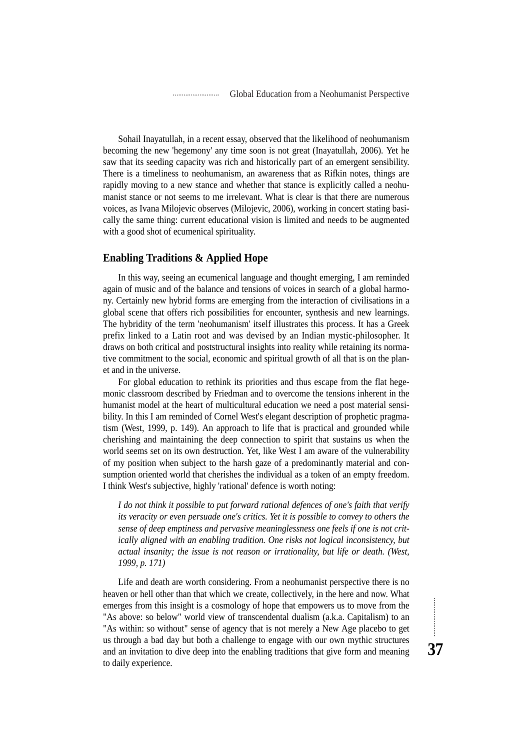Sohail Inayatullah, in a recent essay, observed that the likelihood of neohumanism becoming the new 'hegemony' any time soon is not great (Inayatullah, 2006). Yet he saw that its seeding capacity was rich and historically part of an emergent sensibility. There is a timeliness to neohumanism, an awareness that as Rifkin notes, things are rapidly moving to a new stance and whether that stance is explicitly called a neohumanist stance or not seems to me irrelevant. What is clear is that there are numerous voices, as Ivana Milojevic observes (Milojevic, 2006), working in concert stating basically the same thing: current educational vision is limited and needs to be augmented with a good shot of ecumenical spirituality.

# **Enabling Traditions & Applied Hope**

In this way, seeing an ecumenical language and thought emerging, I am reminded again of music and of the balance and tensions of voices in search of a global harmony. Certainly new hybrid forms are emerging from the interaction of civilisations in a global scene that offers rich possibilities for encounter, synthesis and new learnings. The hybridity of the term 'neohumanism' itself illustrates this process. It has a Greek prefix linked to a Latin root and was devised by an Indian mystic-philosopher. It draws on both critical and poststructural insights into reality while retaining its normative commitment to the social, economic and spiritual growth of all that is on the planet and in the universe.

For global education to rethink its priorities and thus escape from the flat hegemonic classroom described by Friedman and to overcome the tensions inherent in the humanist model at the heart of multicultural education we need a post material sensibility. In this I am reminded of Cornel West's elegant description of prophetic pragmatism (West, 1999, p. 149). An approach to life that is practical and grounded while cherishing and maintaining the deep connection to spirit that sustains us when the world seems set on its own destruction. Yet, like West I am aware of the vulnerability of my position when subject to the harsh gaze of a predominantly material and consumption oriented world that cherishes the individual as a token of an empty freedom. I think West's subjective, highly 'rational' defence is worth noting:

*I do not think it possible to put forward rational defences of one's faith that verify its veracity or even persuade one's critics. Yet it is possible to convey to others the sense of deep emptiness and pervasive meaninglessness one feels if one is not critically aligned with an enabling tradition. One risks not logical inconsistency, but actual insanity; the issue is not reason or irrationality, but life or death. (West, 1999, p. 171)*

Life and death are worth considering. From a neohumanist perspective there is no heaven or hell other than that which we create, collectively, in the here and now. What emerges from this insight is a cosmology of hope that empowers us to move from the "As above: so below" world view of transcendental dualism (a.k.a. Capitalism) to an "As within: so without" sense of agency that is not merely a New Age placebo to get us through a bad day but both a challenge to engage with our own mythic structures and an invitation to dive deep into the enabling traditions that give form and meaning to daily experience.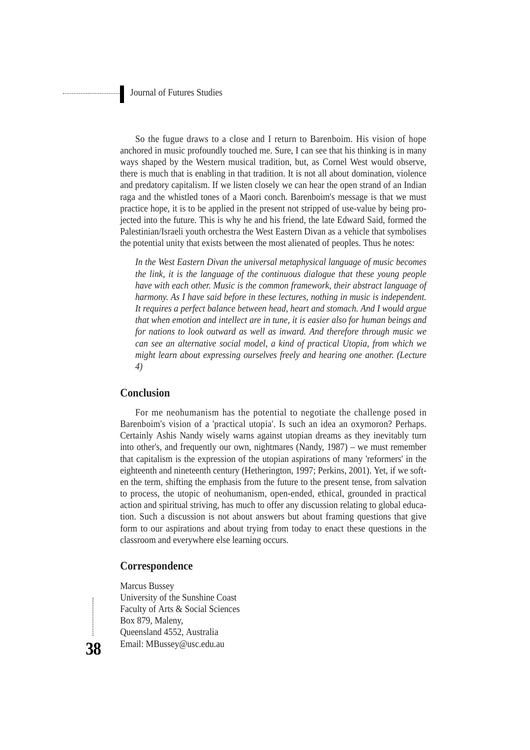So the fugue draws to a close and I return to Barenboim. His vision of hope anchored in music profoundly touched me. Sure, I can see that his thinking is in many ways shaped by the Western musical tradition, but, as Cornel West would observe, there is much that is enabling in that tradition. It is not all about domination, violence and predatory capitalism. If we listen closely we can hear the open strand of an Indian raga and the whistled tones of a Maori conch. Barenboim's message is that we must practice hope, it is to be applied in the present not stripped of use-value by being projected into the future. This is why he and his friend, the late Edward Said, formed the Palestinian/Israeli youth orchestra the West Eastern Divan as a vehicle that symbolises the potential unity that exists between the most alienated of peoples. Thus he notes:

*In the West Eastern Divan the universal metaphysical language of music becomes the link, it is the language of the continuous dialogue that these young people have with each other. Music is the common framework, their abstract language of harmony. As I have said before in these lectures, nothing in music is independent. It requires a perfect balance between head, heart and stomach. And I would argue that when emotion and intellect are in tune, it is easier also for human beings and for nations to look outward as well as inward. And therefore through music we can see an alternative social model, a kind of practical Utopia, from which we might learn about expressing ourselves freely and hearing one another. (Lecture 4)*

#### **Conclusion**

For me neohumanism has the potential to negotiate the challenge posed in Barenboim's vision of a 'practical utopia'. Is such an idea an oxymoron? Perhaps. Certainly Ashis Nandy wisely warns against utopian dreams as they inevitably turn into other's, and frequently our own, nightmares (Nandy, 1987) – we must remember that capitalism is the expression of the utopian aspirations of many 'reformers' in the eighteenth and nineteenth century (Hetherington, 1997; Perkins, 2001). Yet, if we soften the term, shifting the emphasis from the future to the present tense, from salvation to process, the utopic of neohumanism, open-ended, ethical, grounded in practical action and spiritual striving, has much to offer any discussion relating to global education. Such a discussion is not about answers but about framing questions that give form to our aspirations and about trying from today to enact these questions in the classroom and everywhere else learning occurs.

### **Correspondence**

Marcus Bussey University of the Sunshine Coast Faculty of Arts & Social Sciences Box 879, Maleny, Queensland 4552, Australia Email: MBussey@usc.edu.au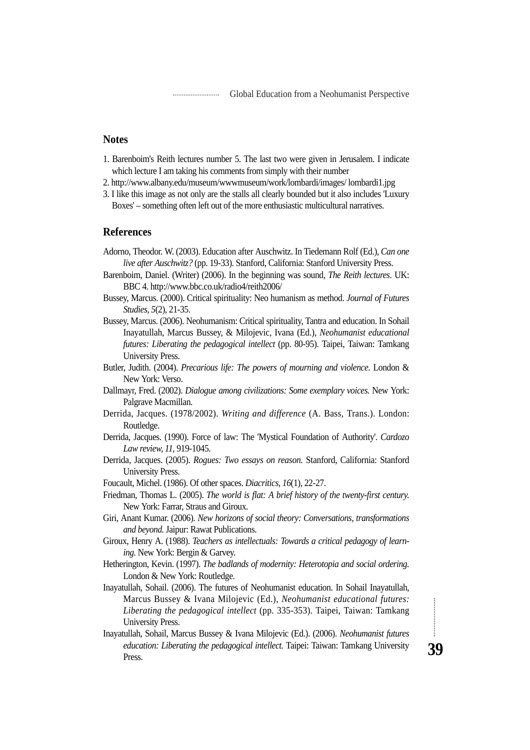Global Education from a Neohumanist Perspective

#### **Notes**

- 1. Barenboim's Reith lectures number 5. The last two were given in Jerusalem. I indicate which lecture I am taking his comments from simply with their number
- 2. http://www.albany.edu/museum/wwwmuseum/work/lombardi/images/ lombardi1.jpg
- 3. I like this image as not only are the stalls all clearly bounded but it also includes 'Luxury Boxes' – something often left out of the more enthusiastic multicultural narratives.

#### **References**

- Adorno, Theodor. W. (2003). Education after Auschwitz. In Tiedemann Rolf (Ed.), *Can one live after Auschwitz?* (pp. 19-33). Stanford, California: Stanford University Press.
- Barenboim, Daniel. (Writer) (2006). In the beginning was sound, *The Reith lectures*. UK: BBC 4. http://www.bbc.co.uk/radio4/reith2006/
- Bussey, Marcus. (2000). Critical spirituality: Neo humanism as method. *Journal of Futures Studies, 5*(2), 21-35.
- Bussey, Marcus. (2006). Neohumanism: Critical spirituality, Tantra and education. In Sohail Inayatullah, Marcus Bussey, & Milojevic, Ivana (Ed.), *Neohumanist educational futures: Liberating the pedagogical intellect* (pp. 80-95). Taipei, Taiwan: Tamkang University Press.
- Butler, Judith. (2004). *Precarious life: The powers of mourning and violence*. London & New York: Verso.
- Dallmayr, Fred. (2002). *Dialogue among civilizations: Some exemplary voices.* New York: Palgrave Macmillan.
- Derrida, Jacques. (1978/2002). *Writing and difference* (A. Bass, Trans.). London: Routledge.
- Derrida, Jacques. (1990). Force of law: The 'Mystical Foundation of Authority'. *Cardozo Law review, 11,* 919-1045.
- Derrida, Jacques. (2005). *Rogues: Two essays on reason.* Stanford, California: Stanford University Press.
- Foucault, Michel. (1986). Of other spaces. *Diacritics, 16*(1), 22-27.
- Friedman, Thomas L. (2005). *The world is flat: A brief history of the twenty-first century.* New York: Farrar, Straus and Giroux.
- Giri, Anant Kumar. (2006). *New horizons of social theory: Conversations, transformations and beyond.* Jaipur: Rawat Publications.
- Giroux, Henry A. (1988). *Teachers as intellectuals: Towards a critical pedagogy of learning.* New York: Bergin & Garvey.
- Hetherington, Kevin. (1997). *The badlands of modernity: Heterotopia and social ordering.* London & New York: Routledge.
- Inayatullah, Sohail. (2006). The futures of Neohumanist education. In Sohail Inayatullah, Marcus Bussey & Ivana Milojevic (Ed.), *Neohumanist educational futures: Liberating the pedagogical intellect* (pp. 335-353). Taipei, Taiwan: Tamkang University Press.
- Inayatullah, Sohail, Marcus Bussey & Ivana Milojevic (Ed.). (2006). *Neohumanist futures education: Liberating the pedagogical intellect.* Taipei: Taiwan: Tamkang University Press.